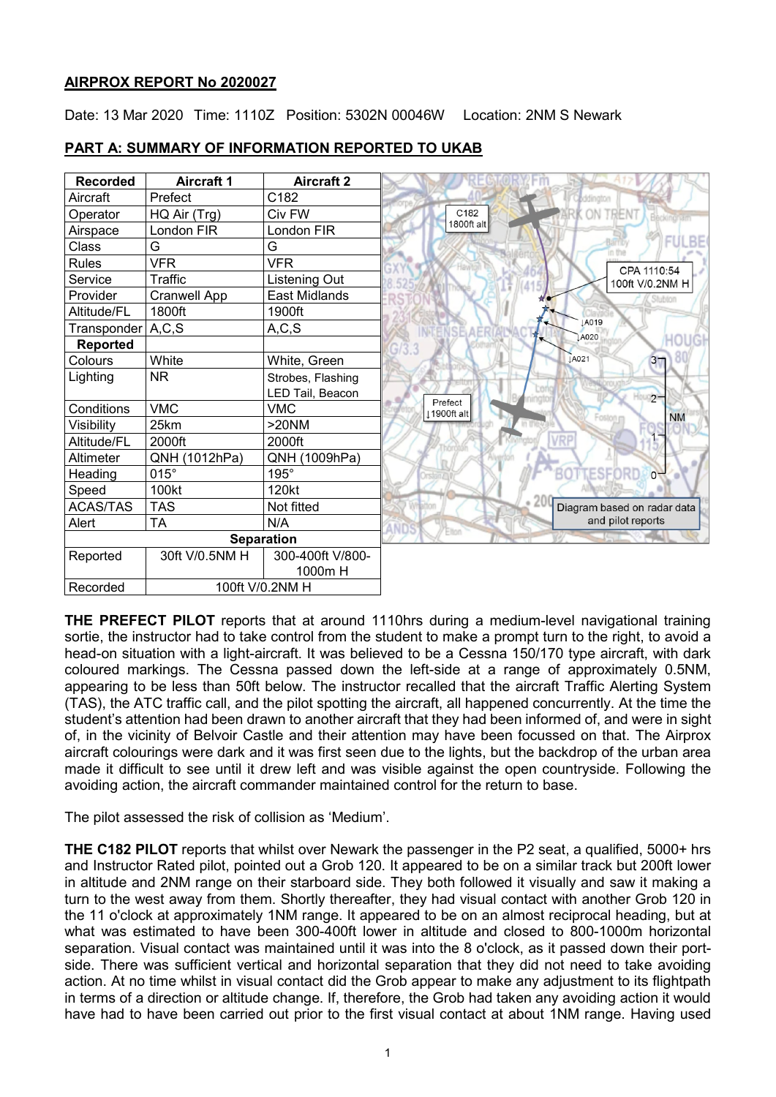## **AIRPROX REPORT No 2020027**

Date: 13 Mar 2020 Time: 1110Z Position: 5302N 00046W Location: 2NM S Newark

| <b>Recorded</b>   | <b>Aircraft 1</b>   | <b>Aircraft 2</b>    |
|-------------------|---------------------|----------------------|
| Aircraft          | Prefect             | C182                 |
| Operator          | HQ Air (Trg)        | Civ FW               |
| Airspace          | London FIR          | _ondon FIR           |
| Class             | G                   | G                    |
| <b>Rules</b>      | <b>VFR</b>          | <b>VFR</b>           |
| Service           | <b>Traffic</b>      | Listening Out        |
| Provider          | <b>Cranwell App</b> | <b>East Midlands</b> |
| Altitude/FL       | 1800ft              | 1900ft               |
| Transponder       | A, C, S             | A, C, S              |
| <b>Reported</b>   |                     |                      |
| Colours           | White               | White, Green         |
| Lighting          | <b>NR</b>           | Strobes, Flashing    |
|                   |                     | LED Tail, Beacon     |
| Conditions        | <b>VMC</b>          | <b>VMC</b>           |
| Visibility        | 25km                | >20NM                |
| Altitude/FL       | 2000ft              | 2000ft               |
| Altimeter         | QNH (1012hPa)       | QNH (1009hPa)        |
| Heading           | $015^\circ$         | 195°                 |
| Speed             | 100kt               | 120kt                |
| <b>ACAS/TAS</b>   | <b>TAS</b>          | Not fitted           |
| Alert             | <b>TA</b>           | N/A                  |
| <b>Separation</b> |                     |                      |
| Reported          | 30ft V/0.5NM H      | 300-400ft V/800-     |
|                   |                     | 1000m H              |
| Recorded          |                     | 100ft V/0.2NM H      |

# **PART A: SUMMARY OF INFORMATION REPORTED TO UKAB**

**THE PREFECT PILOT** reports that at around 1110hrs during a medium-level navigational training sortie, the instructor had to take control from the student to make a prompt turn to the right, to avoid a head-on situation with a light-aircraft. It was believed to be a Cessna 150/170 type aircraft, with dark coloured markings. The Cessna passed down the left-side at a range of approximately 0.5NM, appearing to be less than 50ft below. The instructor recalled that the aircraft Traffic Alerting System (TAS), the ATC traffic call, and the pilot spotting the aircraft, all happened concurrently. At the time the student's attention had been drawn to another aircraft that they had been informed of, and were in sight of, in the vicinity of Belvoir Castle and their attention may have been focussed on that. The Airprox aircraft colourings were dark and it was first seen due to the lights, but the backdrop of the urban area made it difficult to see until it drew left and was visible against the open countryside. Following the avoiding action, the aircraft commander maintained control for the return to base.

The pilot assessed the risk of collision as 'Medium'.

**THE C182 PILOT** reports that whilst over Newark the passenger in the P2 seat, a qualified, 5000+ hrs and Instructor Rated pilot, pointed out a Grob 120. It appeared to be on a similar track but 200ft lower in altitude and 2NM range on their starboard side. They both followed it visually and saw it making a turn to the west away from them. Shortly thereafter, they had visual contact with another Grob 120 in the 11 o'clock at approximately 1NM range. It appeared to be on an almost reciprocal heading, but at what was estimated to have been 300-400ft lower in altitude and closed to 800-1000m horizontal separation. Visual contact was maintained until it was into the 8 o'clock, as it passed down their portside. There was sufficient vertical and horizontal separation that they did not need to take avoiding action. At no time whilst in visual contact did the Grob appear to make any adjustment to its flightpath in terms of a direction or altitude change. If, therefore, the Grob had taken any avoiding action it would have had to have been carried out prior to the first visual contact at about 1NM range. Having used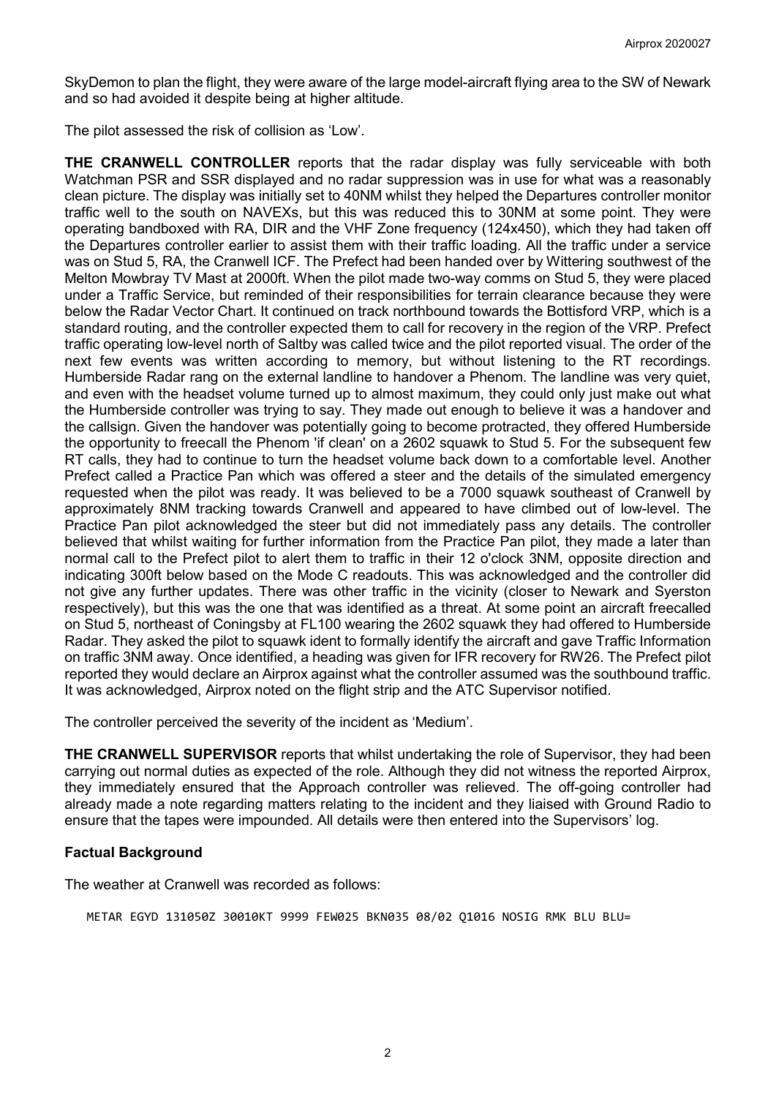SkyDemon to plan the flight, they were aware of the large model-aircraft flying area to the SW of Newark and so had avoided it despite being at higher altitude.

The pilot assessed the risk of collision as 'Low'.

**THE CRANWELL CONTROLLER** reports that the radar display was fully serviceable with both Watchman PSR and SSR displayed and no radar suppression was in use for what was a reasonably clean picture. The display was initially set to 40NM whilst they helped the Departures controller monitor traffic well to the south on NAVEXs, but this was reduced this to 30NM at some point. They were operating bandboxed with RA, DIR and the VHF Zone frequency (124x450), which they had taken off the Departures controller earlier to assist them with their traffic loading. All the traffic under a service was on Stud 5, RA, the Cranwell ICF. The Prefect had been handed over by Wittering southwest of the Melton Mowbray TV Mast at 2000ft. When the pilot made two-way comms on Stud 5, they were placed under a Traffic Service, but reminded of their responsibilities for terrain clearance because they were below the Radar Vector Chart. It continued on track northbound towards the Bottisford VRP, which is a standard routing, and the controller expected them to call for recovery in the region of the VRP. Prefect traffic operating low-level north of Saltby was called twice and the pilot reported visual. The order of the next few events was written according to memory, but without listening to the RT recordings. Humberside Radar rang on the external landline to handover a Phenom. The landline was very quiet, and even with the headset volume turned up to almost maximum, they could only just make out what the Humberside controller was trying to say. They made out enough to believe it was a handover and the callsign. Given the handover was potentially going to become protracted, they offered Humberside the opportunity to freecall the Phenom 'if clean' on a 2602 squawk to Stud 5. For the subsequent few RT calls, they had to continue to turn the headset volume back down to a comfortable level. Another Prefect called a Practice Pan which was offered a steer and the details of the simulated emergency requested when the pilot was ready. It was believed to be a 7000 squawk southeast of Cranwell by approximately 8NM tracking towards Cranwell and appeared to have climbed out of low-level. The Practice Pan pilot acknowledged the steer but did not immediately pass any details. The controller believed that whilst waiting for further information from the Practice Pan pilot, they made a later than normal call to the Prefect pilot to alert them to traffic in their 12 o'clock 3NM, opposite direction and indicating 300ft below based on the Mode C readouts. This was acknowledged and the controller did not give any further updates. There was other traffic in the vicinity (closer to Newark and Syerston respectively), but this was the one that was identified as a threat. At some point an aircraft freecalled on Stud 5, northeast of Coningsby at FL100 wearing the 2602 squawk they had offered to Humberside Radar. They asked the pilot to squawk ident to formally identify the aircraft and gave Traffic Information on traffic 3NM away. Once identified, a heading was given for IFR recovery for RW26. The Prefect pilot reported they would declare an Airprox against what the controller assumed was the southbound traffic. It was acknowledged, Airprox noted on the flight strip and the ATC Supervisor notified.

The controller perceived the severity of the incident as 'Medium'.

**THE CRANWELL SUPERVISOR** reports that whilst undertaking the role of Supervisor, they had been carrying out normal duties as expected of the role. Although they did not witness the reported Airprox, they immediately ensured that the Approach controller was relieved. The off-going controller had already made a note regarding matters relating to the incident and they liaised with Ground Radio to ensure that the tapes were impounded. All details were then entered into the Supervisors' log.

## **Factual Background**

The weather at Cranwell was recorded as follows:

METAR EGYD 131050Z 30010KT 9999 FEW025 BKN035 08/02 Q1016 NOSIG RMK BLU BLU=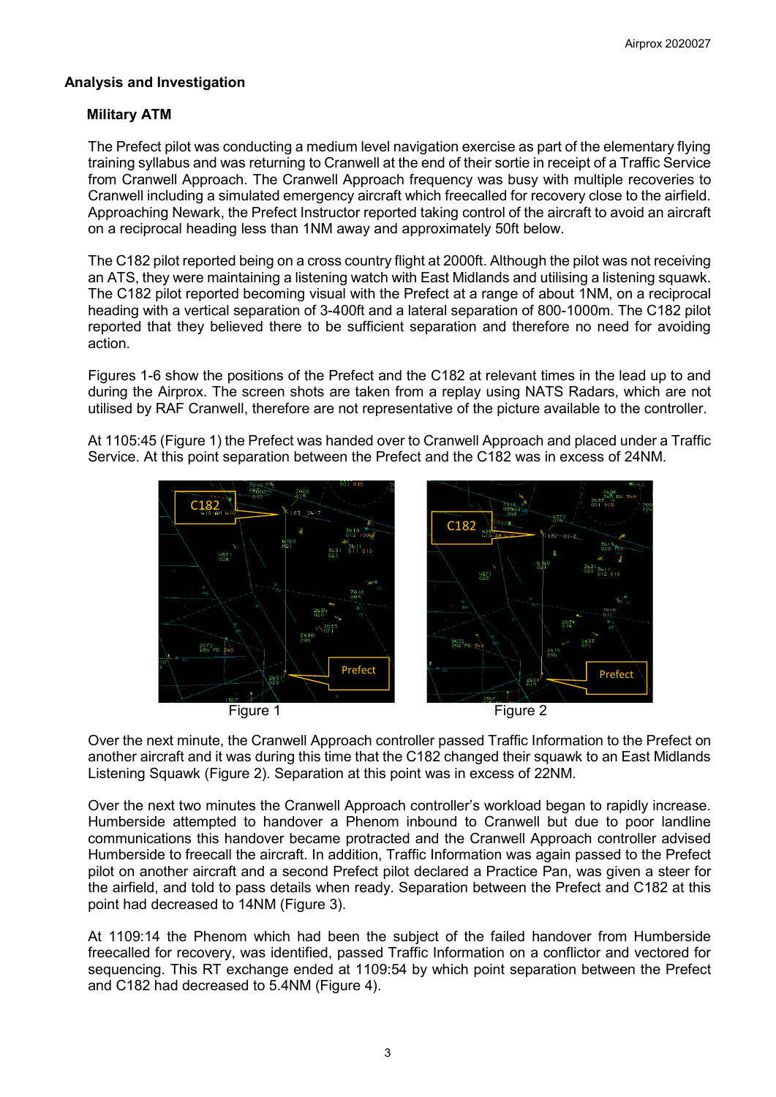# **Analysis and Investigation**

# **Military ATM**

The Prefect pilot was conducting a medium level navigation exercise as part of the elementary flying training syllabus and was returning to Cranwell at the end of their sortie in receipt of a Traffic Service from Cranwell Approach. The Cranwell Approach frequency was busy with multiple recoveries to Cranwell including a simulated emergency aircraft which freecalled for recovery close to the airfield. Approaching Newark, the Prefect Instructor reported taking control of the aircraft to avoid an aircraft on a reciprocal heading less than 1NM away and approximately 50ft below.

The C182 pilot reported being on a cross country flight at 2000ft. Although the pilot was not receiving an ATS, they were maintaining a listening watch with East Midlands and utilising a listening squawk. The C182 pilot reported becoming visual with the Prefect at a range of about 1NM, on a reciprocal heading with a vertical separation of 3-400ft and a lateral separation of 800-1000m. The C182 pilot reported that they believed there to be sufficient separation and therefore no need for avoiding action.

Figures 1-6 show the positions of the Prefect and the C182 at relevant times in the lead up to and during the Airprox. The screen shots are taken from a replay using NATS Radars, which are not utilised by RAF Cranwell, therefore are not representative of the picture available to the controller.

At 1105:45 (Figure 1) the Prefect was handed over to Cranwell Approach and placed under a Traffic Service. At this point separation between the Prefect and the C182 was in excess of 24NM.





Over the next minute, the Cranwell Approach controller passed Traffic Information to the Prefect on another aircraft and it was during this time that the C182 changed their squawk to an East Midlands Listening Squawk (Figure 2). Separation at this point was in excess of 22NM.

Over the next two minutes the Cranwell Approach controller's workload began to rapidly increase. Humberside attempted to handover a Phenom inbound to Cranwell but due to poor landline communications this handover became protracted and the Cranwell Approach controller advised Humberside to freecall the aircraft. In addition, Traffic Information was again passed to the Prefect pilot on another aircraft and a second Prefect pilot declared a Practice Pan, was given a steer for the airfield, and told to pass details when ready. Separation between the Prefect and C182 at this point had decreased to 14NM (Figure 3).

At 1109:14 the Phenom which had been the subject of the failed handover from Humberside freecalled for recovery, was identified, passed Traffic Information on a conflictor and vectored for sequencing. This RT exchange ended at 1109:54 by which point separation between the Prefect and C182 had decreased to 5.4NM (Figure 4).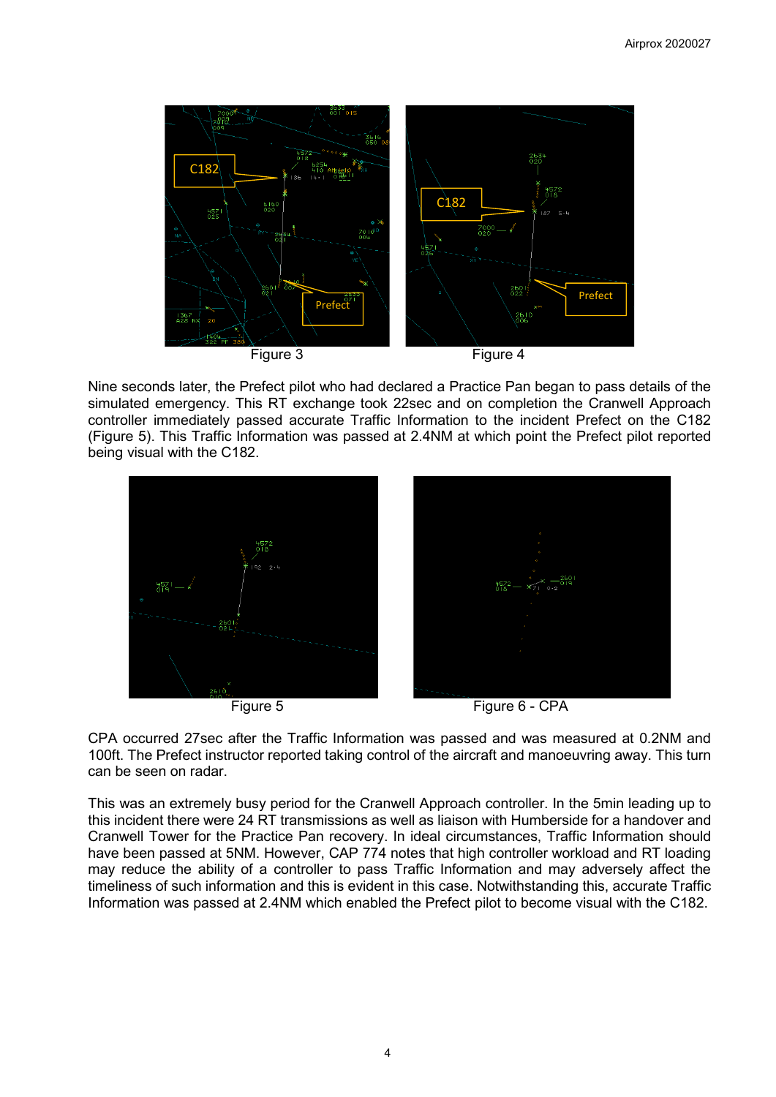

Nine seconds later, the Prefect pilot who had declared a Practice Pan began to pass details of the simulated emergency. This RT exchange took 22sec and on completion the Cranwell Approach controller immediately passed accurate Traffic Information to the incident Prefect on the C182 (Figure 5). This Traffic Information was passed at 2.4NM at which point the Prefect pilot reported being visual with the C182.





Figure 5 Figure 6 - CPA

CPA occurred 27sec after the Traffic Information was passed and was measured at 0.2NM and 100ft. The Prefect instructor reported taking control of the aircraft and manoeuvring away. This turn can be seen on radar.

This was an extremely busy period for the Cranwell Approach controller. In the 5min leading up to this incident there were 24 RT transmissions as well as liaison with Humberside for a handover and Cranwell Tower for the Practice Pan recovery. In ideal circumstances, Traffic Information should have been passed at 5NM. However, CAP 774 notes that high controller workload and RT loading may reduce the ability of a controller to pass Traffic Information and may adversely affect the timeliness of such information and this is evident in this case. Notwithstanding this, accurate Traffic Information was passed at 2.4NM which enabled the Prefect pilot to become visual with the C182.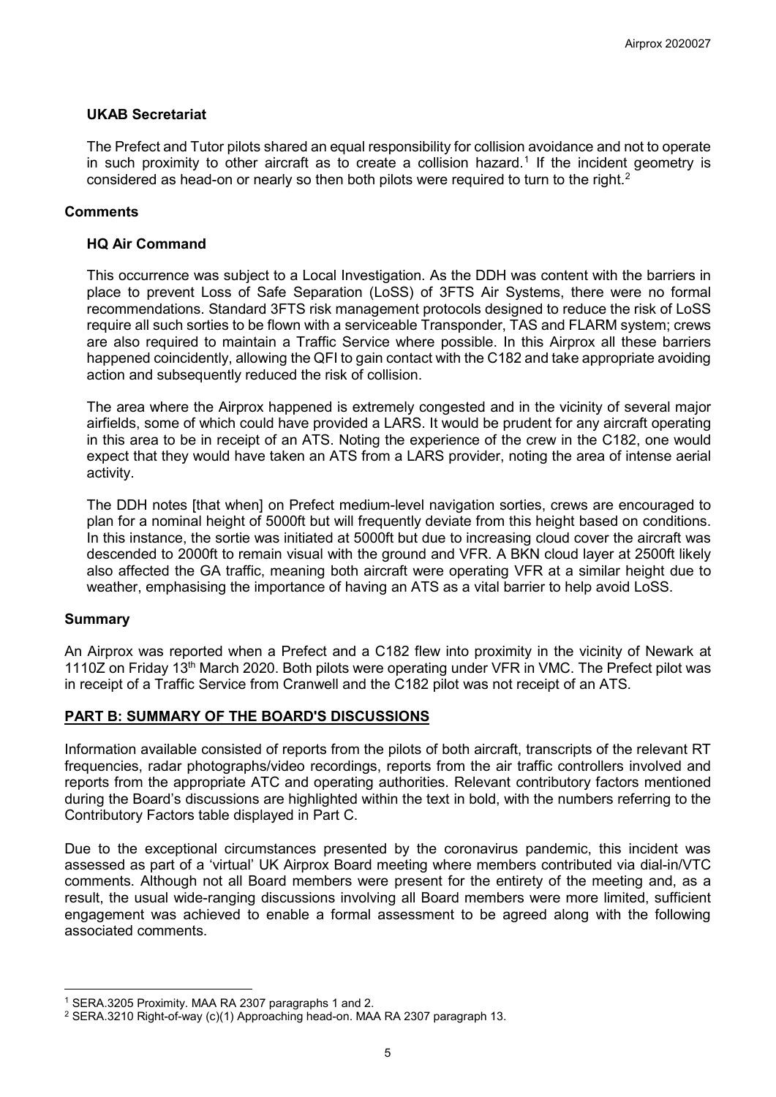## **UKAB Secretariat**

The Prefect and Tutor pilots shared an equal responsibility for collision avoidance and not to operate in such proximity to other aircraft as to create a collision hazard. [1](#page-4-0) If the incident geometry is considered as head-on or nearly so then both pilots were required to turn to the right.<sup>[2](#page-4-1)</sup>

### **Comments**

### **HQ Air Command**

This occurrence was subject to a Local Investigation. As the DDH was content with the barriers in place to prevent Loss of Safe Separation (LoSS) of 3FTS Air Systems, there were no formal recommendations. Standard 3FTS risk management protocols designed to reduce the risk of LoSS require all such sorties to be flown with a serviceable Transponder, TAS and FLARM system; crews are also required to maintain a Traffic Service where possible. In this Airprox all these barriers happened coincidently, allowing the QFI to gain contact with the C182 and take appropriate avoiding action and subsequently reduced the risk of collision.

The area where the Airprox happened is extremely congested and in the vicinity of several major airfields, some of which could have provided a LARS. It would be prudent for any aircraft operating in this area to be in receipt of an ATS. Noting the experience of the crew in the C182, one would expect that they would have taken an ATS from a LARS provider, noting the area of intense aerial activity.

The DDH notes [that when] on Prefect medium-level navigation sorties, crews are encouraged to plan for a nominal height of 5000ft but will frequently deviate from this height based on conditions. In this instance, the sortie was initiated at 5000ft but due to increasing cloud cover the aircraft was descended to 2000ft to remain visual with the ground and VFR. A BKN cloud layer at 2500ft likely also affected the GA traffic, meaning both aircraft were operating VFR at a similar height due to weather, emphasising the importance of having an ATS as a vital barrier to help avoid LoSS.

#### **Summary**

 $\overline{\phantom{a}}$ 

An Airprox was reported when a Prefect and a C182 flew into proximity in the vicinity of Newark at 1110Z on Friday 13<sup>th</sup> March 2020. Both pilots were operating under VFR in VMC. The Prefect pilot was in receipt of a Traffic Service from Cranwell and the C182 pilot was not receipt of an ATS.

## **PART B: SUMMARY OF THE BOARD'S DISCUSSIONS**

Information available consisted of reports from the pilots of both aircraft, transcripts of the relevant RT frequencies, radar photographs/video recordings, reports from the air traffic controllers involved and reports from the appropriate ATC and operating authorities. Relevant contributory factors mentioned during the Board's discussions are highlighted within the text in bold, with the numbers referring to the Contributory Factors table displayed in Part C.

Due to the exceptional circumstances presented by the coronavirus pandemic, this incident was assessed as part of a 'virtual' UK Airprox Board meeting where members contributed via dial-in/VTC comments. Although not all Board members were present for the entirety of the meeting and, as a result, the usual wide-ranging discussions involving all Board members were more limited, sufficient engagement was achieved to enable a formal assessment to be agreed along with the following associated comments.

<span id="page-4-0"></span><sup>1</sup> SERA.3205 Proximity. MAA RA 2307 paragraphs 1 and 2.

<span id="page-4-1"></span><sup>2</sup> SERA.3210 Right-of-way (c)(1) Approaching head-on. MAA RA 2307 paragraph 13.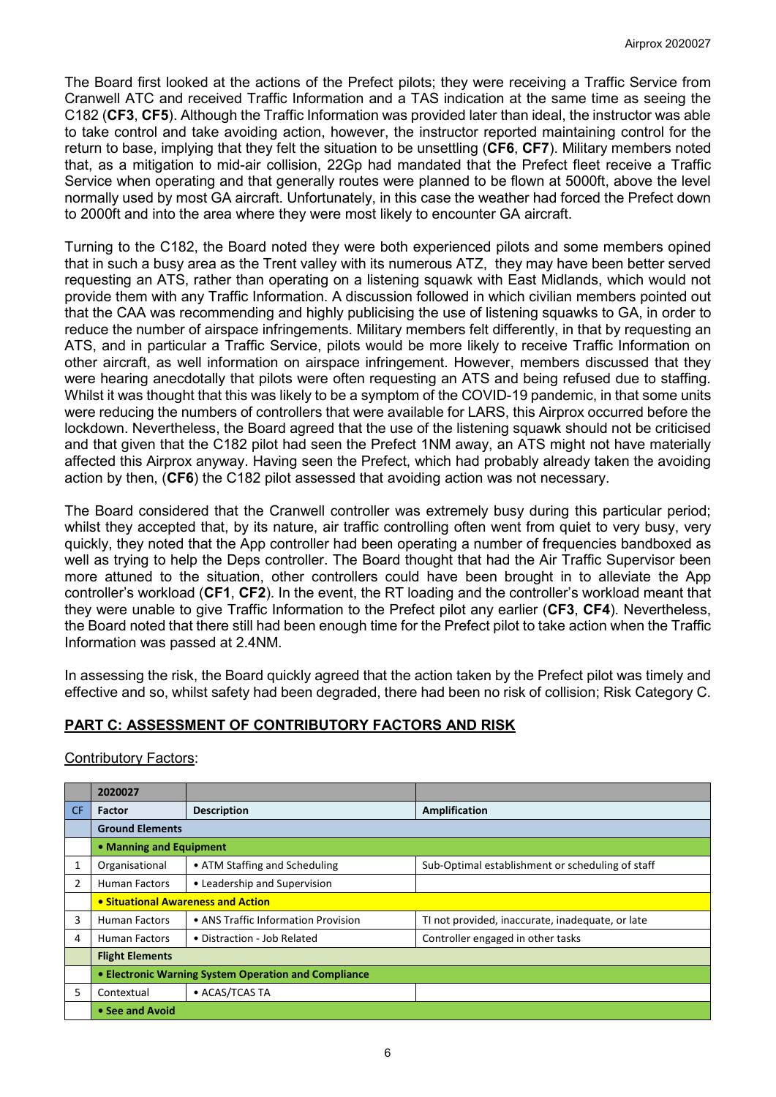The Board first looked at the actions of the Prefect pilots; they were receiving a Traffic Service from Cranwell ATC and received Traffic Information and a TAS indication at the same time as seeing the C182 (**CF3**, **CF5**). Although the Traffic Information was provided later than ideal, the instructor was able to take control and take avoiding action, however, the instructor reported maintaining control for the return to base, implying that they felt the situation to be unsettling (**CF6**, **CF7**). Military members noted that, as a mitigation to mid-air collision, 22Gp had mandated that the Prefect fleet receive a Traffic Service when operating and that generally routes were planned to be flown at 5000ft, above the level normally used by most GA aircraft. Unfortunately, in this case the weather had forced the Prefect down to 2000ft and into the area where they were most likely to encounter GA aircraft.

Turning to the C182, the Board noted they were both experienced pilots and some members opined that in such a busy area as the Trent valley with its numerous ATZ, they may have been better served requesting an ATS, rather than operating on a listening squawk with East Midlands, which would not provide them with any Traffic Information. A discussion followed in which civilian members pointed out that the CAA was recommending and highly publicising the use of listening squawks to GA, in order to reduce the number of airspace infringements. Military members felt differently, in that by requesting an ATS, and in particular a Traffic Service, pilots would be more likely to receive Traffic Information on other aircraft, as well information on airspace infringement. However, members discussed that they were hearing anecdotally that pilots were often requesting an ATS and being refused due to staffing. Whilst it was thought that this was likely to be a symptom of the COVID-19 pandemic, in that some units were reducing the numbers of controllers that were available for LARS, this Airprox occurred before the lockdown. Nevertheless, the Board agreed that the use of the listening squawk should not be criticised and that given that the C182 pilot had seen the Prefect 1NM away, an ATS might not have materially affected this Airprox anyway. Having seen the Prefect, which had probably already taken the avoiding action by then, (**CF6**) the C182 pilot assessed that avoiding action was not necessary.

The Board considered that the Cranwell controller was extremely busy during this particular period; whilst they accepted that, by its nature, air traffic controlling often went from quiet to very busy, very quickly, they noted that the App controller had been operating a number of frequencies bandboxed as well as trying to help the Deps controller. The Board thought that had the Air Traffic Supervisor been more attuned to the situation, other controllers could have been brought in to alleviate the App controller's workload (**CF1**, **CF2**). In the event, the RT loading and the controller's workload meant that they were unable to give Traffic Information to the Prefect pilot any earlier (**CF3**, **CF4**). Nevertheless, the Board noted that there still had been enough time for the Prefect pilot to take action when the Traffic Information was passed at 2.4NM.

In assessing the risk, the Board quickly agreed that the action taken by the Prefect pilot was timely and effective and so, whilst safety had been degraded, there had been no risk of collision; Risk Category C.

# **PART C: ASSESSMENT OF CONTRIBUTORY FACTORS AND RISK**

Contributory Factors:

|                | 2020027                                              |                                     |                                                  |  |  |  |  |
|----------------|------------------------------------------------------|-------------------------------------|--------------------------------------------------|--|--|--|--|
| CF.            | <b>Factor</b>                                        | Amplification<br><b>Description</b> |                                                  |  |  |  |  |
|                | <b>Ground Elements</b>                               |                                     |                                                  |  |  |  |  |
|                | • Manning and Equipment                              |                                     |                                                  |  |  |  |  |
|                | Organisational                                       | • ATM Staffing and Scheduling       | Sub-Optimal establishment or scheduling of staff |  |  |  |  |
| $\overline{2}$ | <b>Human Factors</b>                                 | • Leadership and Supervision        |                                                  |  |  |  |  |
|                | • Situational Awareness and Action                   |                                     |                                                  |  |  |  |  |
| 3              | Human Factors                                        | • ANS Traffic Information Provision | TI not provided, inaccurate, inadequate, or late |  |  |  |  |
| 4              | <b>Human Factors</b>                                 | • Distraction - Job Related         | Controller engaged in other tasks                |  |  |  |  |
|                | <b>Flight Elements</b>                               |                                     |                                                  |  |  |  |  |
|                | • Electronic Warning System Operation and Compliance |                                     |                                                  |  |  |  |  |
| 5              | Contextual                                           | • ACAS/TCAS TA                      |                                                  |  |  |  |  |
|                | • See and Avoid                                      |                                     |                                                  |  |  |  |  |